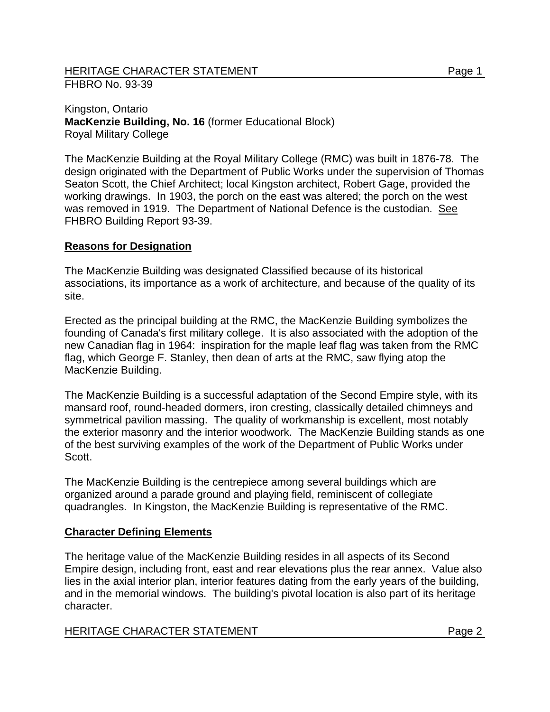## HERITAGE CHARACTER STATEMENT Page 1 FHBRO No. 93-39

Kingston, Ontario **MacKenzie Building, No. 16** (former Educational Block) Royal Military College

The MacKenzie Building at the Royal Military College (RMC) was built in 1876-78. The design originated with the Department of Public Works under the supervision of Thomas Seaton Scott, the Chief Architect; local Kingston architect, Robert Gage, provided the working drawings. In 1903, the porch on the east was altered; the porch on the west was removed in 1919. The Department of National Defence is the custodian. See FHBRO Building Report 93-39.

## **Reasons for Designation**

The MacKenzie Building was designated Classified because of its historical associations, its importance as a work of architecture, and because of the quality of its site.

Erected as the principal building at the RMC, the MacKenzie Building symbolizes the founding of Canada's first military college. It is also associated with the adoption of the new Canadian flag in 1964: inspiration for the maple leaf flag was taken from the RMC flag, which George F. Stanley, then dean of arts at the RMC, saw flying atop the MacKenzie Building.

The MacKenzie Building is a successful adaptation of the Second Empire style, with its mansard roof, round-headed dormers, iron cresting, classically detailed chimneys and symmetrical pavilion massing. The quality of workmanship is excellent, most notably the exterior masonry and the interior woodwork. The MacKenzie Building stands as one of the best surviving examples of the work of the Department of Public Works under Scott.

The MacKenzie Building is the centrepiece among several buildings which are organized around a parade ground and playing field, reminiscent of collegiate quadrangles. In Kingston, the MacKenzie Building is representative of the RMC.

## **Character Defining Elements**

The heritage value of the MacKenzie Building resides in all aspects of its Second Empire design, including front, east and rear elevations plus the rear annex. Value also lies in the axial interior plan, interior features dating from the early years of the building, and in the memorial windows. The building's pivotal location is also part of its heritage character.

## HERITAGE CHARACTER STATEMENT Page 2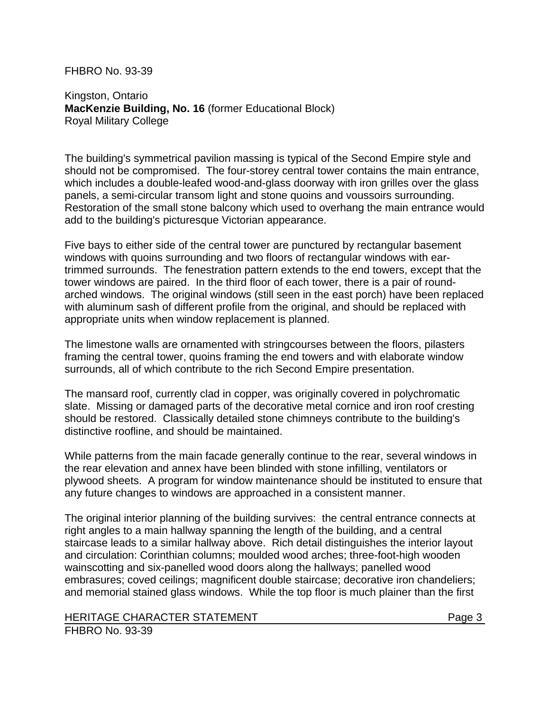FHBRO No. 93-39

Kingston, Ontario **MacKenzie Building, No. 16** (former Educational Block) Royal Military College

The building's symmetrical pavilion massing is typical of the Second Empire style and should not be compromised. The four-storey central tower contains the main entrance, which includes a double-leafed wood-and-glass doorway with iron grilles over the glass panels, a semi-circular transom light and stone quoins and voussoirs surrounding. Restoration of the small stone balcony which used to overhang the main entrance would add to the building's picturesque Victorian appearance.

Five bays to either side of the central tower are punctured by rectangular basement windows with quoins surrounding and two floors of rectangular windows with eartrimmed surrounds. The fenestration pattern extends to the end towers, except that the tower windows are paired. In the third floor of each tower, there is a pair of roundarched windows. The original windows (still seen in the east porch) have been replaced with aluminum sash of different profile from the original, and should be replaced with appropriate units when window replacement is planned.

The limestone walls are ornamented with stringcourses between the floors, pilasters framing the central tower, quoins framing the end towers and with elaborate window surrounds, all of which contribute to the rich Second Empire presentation.

The mansard roof, currently clad in copper, was originally covered in polychromatic slate. Missing or damaged parts of the decorative metal cornice and iron roof cresting should be restored. Classically detailed stone chimneys contribute to the building's distinctive roofline, and should be maintained.

While patterns from the main facade generally continue to the rear, several windows in the rear elevation and annex have been blinded with stone infilling, ventilators or plywood sheets. A program for window maintenance should be instituted to ensure that any future changes to windows are approached in a consistent manner.

The original interior planning of the building survives: the central entrance connects at right angles to a main hallway spanning the length of the building, and a central staircase leads to a similar hallway above. Rich detail distinguishes the interior layout and circulation: Corinthian columns; moulded wood arches; three-foot-high wooden wainscotting and six-panelled wood doors along the hallways; panelled wood embrasures; coved ceilings; magnificent double staircase; decorative iron chandeliers; and memorial stained glass windows. While the top floor is much plainer than the first

HERITAGE CHARACTER STATEMENT FRAGGERAL Page 3

FHBRO No. 93-39